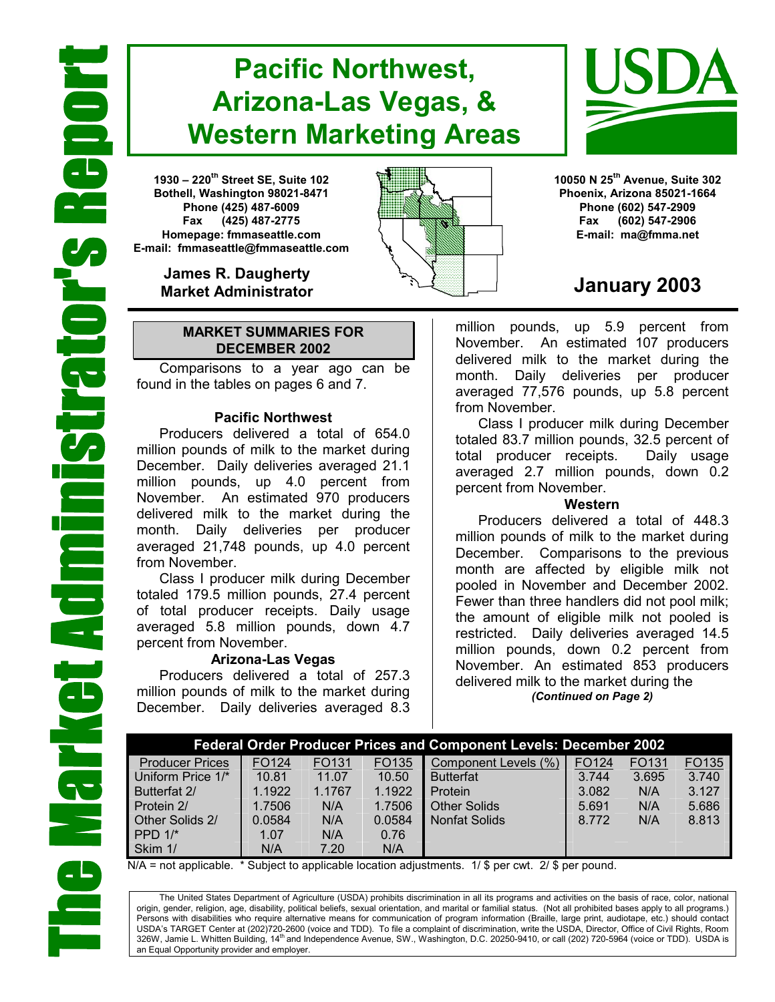# **Pacific Northwest, Arizona-Las Vegas, & Western Marketing Areas**

**1930 – 220th Street SE, Suite 102 Bothell, Washington 98021-8471 Phone (425) 487-6009 Fax (425) 487-2775 Homepage: fmmaseattle.com E-mail: fmmaseattle@fmmaseattle.com**

> **James R. Daugherty Market Administrator**

#### **MARKET SUMMARIES FOR DECEMBER 2002**

 Comparisons to a year ago can be found in the tables on pages 6 and 7.

#### **Pacific Northwest**

Producers delivered a total of 654.0 million pounds of milk to the market during December. Daily deliveries averaged 21.1 million pounds, up 4.0 percent from November. An estimated 970 producers delivered milk to the market during the month. Daily deliveries per producer averaged 21,748 pounds, up 4.0 percent from November.

Class I producer milk during December totaled 179.5 million pounds, 27.4 percent of total producer receipts. Daily usage averaged 5.8 million pounds, down 4.7 percent from November.

#### **Arizona-Las Vegas**

Producers delivered a total of 257.3 million pounds of milk to the market during December. Daily deliveries averaged 8.3





**10050 N 25th Avenue, Suite 302 Phoenix, Arizona 85021-1664 Phone (602) 547-2909 Fax (602) 547-2906 E-mail: ma@fmma.net**

## **January 2003**

million pounds, up 5.9 percent from November. An estimated 107 producers delivered milk to the market during the month. Daily deliveries per producer averaged 77,576 pounds, up 5.8 percent from November.

Class I producer milk during December totaled 83.7 million pounds, 32.5 percent of total producer receipts. Daily usage averaged 2.7 million pounds, down 0.2 percent from November.

#### **Western**

Producers delivered a total of 448.3 million pounds of milk to the market during December. Comparisons to the previous month are affected by eligible milk not pooled in November and December 2002. Fewer than three handlers did not pool milk; the amount of eligible milk not pooled is restricted. Daily deliveries averaged 14.5 million pounds, down 0.2 percent from November. An estimated 853 producers delivered milk to the market during the *(Continued on Page 2)* 

| <b>Federal Order Producer Prices and Component Levels: December 2002</b> |        |        |        |                      |       |       |       |
|--------------------------------------------------------------------------|--------|--------|--------|----------------------|-------|-------|-------|
| <b>Producer Prices</b>                                                   | FO124  | FO131  | FO135  | Component Levels (%) | FO124 | FO131 | FO135 |
| Uniform Price 1/*                                                        | 10.81  | 11.07  | 10.50  | <b>Butterfat</b>     | 3.744 | 3.695 | 3.740 |
| Butterfat 2/                                                             | 1.1922 | 1.1767 | 1.1922 | Protein              | 3.082 | N/A   | 3.127 |
| Protein 2/                                                               | 1.7506 | N/A    | 1.7506 | <b>Other Solids</b>  | 5.691 | N/A   | 5.686 |
| Other Solids 2/                                                          | 0.0584 | N/A    | 0.0584 | <b>Nonfat Solids</b> | 8.772 | N/A   | 8.813 |
| PPD $1/*$                                                                | 1.07   | N/A    | 0.76   |                      |       |       |       |
| Skim 1/                                                                  | N/A    | 7.20   | N/A    |                      |       |       |       |

N/A = not applicable. \* Subject to applicable location adjustments. 1/ \$ per cwt. 2/ \$ per pound.

The United States Department of Agriculture (USDA) prohibits discrimination in all its programs and activities on the basis of race, color, national origin, gender, religion, age, disability, political beliefs, sexual orientation, and marital or familial status. (Not all prohibited bases apply to all programs.) Persons with disabilities who require alternative means for communication of program information (Braille, large print, audiotape, etc.) should contact USDA's TARGET Center at (202)720-2600 (voice and TDD). To file a complaint of discrimination, write the USDA, Director, Office of Civil Rights, Room 326W, Jamie L. Whitten Building, 14<sup>th</sup> and Independence Avenue, SW., Washington, D.C. 20250-9410, or call (202) 720-5964 (voice or TDD). USDA is an Equal Opportunity provider and employer.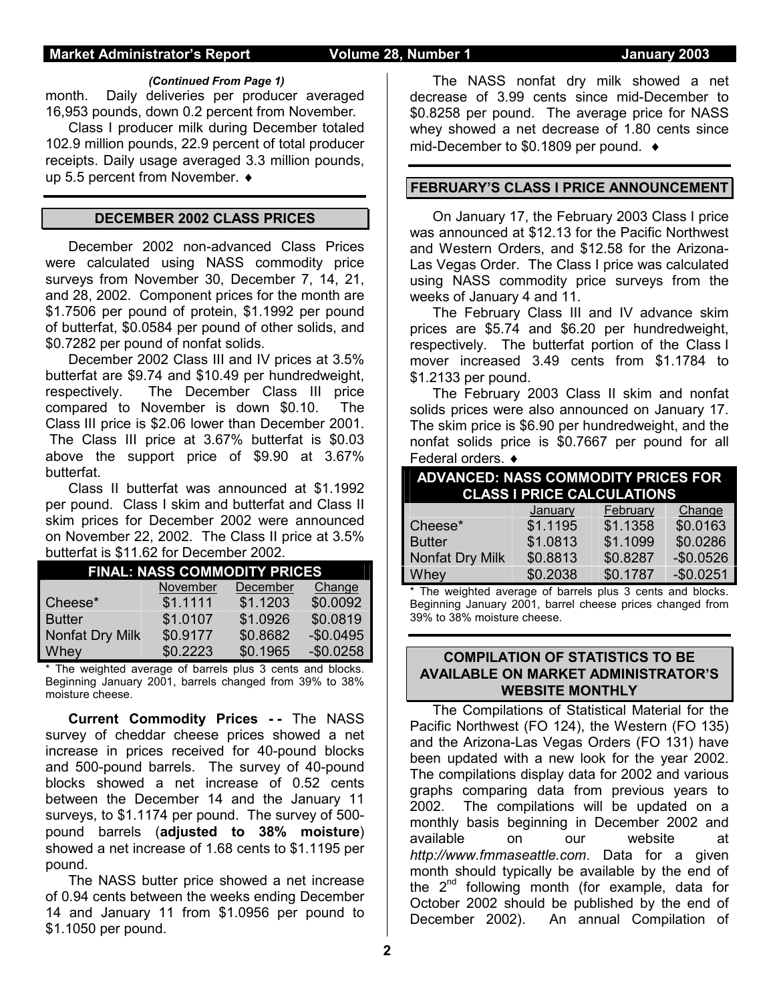#### **Market Administrator's Report Volume 28, Number 1 January 2003**

#### *(Continued From Page 1)*

month. Daily deliveries per producer averaged 16,953 pounds, down 0.2 percent from November.

Class I producer milk during December totaled 102.9 million pounds, 22.9 percent of total producer receipts. Daily usage averaged 3.3 million pounds, up 5.5 percent from November. ♦

#### **DECEMBER 2002 CLASS PRICES**

December 2002 non-advanced Class Prices were calculated using NASS commodity price surveys from November 30, December 7, 14, 21, and 28, 2002. Component prices for the month are \$1.7506 per pound of protein, \$1.1992 per pound of butterfat, \$0.0584 per pound of other solids, and \$0.7282 per pound of nonfat solids.

 December 2002 Class III and IV prices at 3.5% butterfat are \$9.74 and \$10.49 per hundredweight, respectively. The December Class III price compared to November is down \$0.10. The Class III price is \$2.06 lower than December 2001. The Class III price at 3.67% butterfat is \$0.03 above the support price of \$9.90 at 3.67% butterfat.

Class II butterfat was announced at \$1.1992 per pound. Class I skim and butterfat and Class II skim prices for December 2002 were announced on November 22, 2002. The Class II price at 3.5% butterfat is \$11.62 for December 2002.

| <b>FINAL: NASS COMMODITY PRICES</b> |          |          |            |  |  |  |
|-------------------------------------|----------|----------|------------|--|--|--|
|                                     | November | December | Change     |  |  |  |
| Cheese*                             | \$1.1111 | \$1.1203 | \$0.0092   |  |  |  |
| <b>Butter</b>                       | \$1.0107 | \$1.0926 | \$0.0819   |  |  |  |
| Nonfat Dry Milk                     | \$0.9177 | \$0.8682 | $-$0.0495$ |  |  |  |
| Whey                                | \$0.2223 | \$0.1965 | $-$0.0258$ |  |  |  |

The weighted average of barrels plus 3 cents and blocks. Beginning January 2001, barrels changed from 39% to 38% moisture cheese.

**Current Commodity Prices - -** The NASS survey of cheddar cheese prices showed a net increase in prices received for 40-pound blocks and 500-pound barrels. The survey of 40-pound blocks showed a net increase of 0.52 cents between the December 14 and the January 11 surveys, to \$1.1174 per pound. The survey of 500 pound barrels (**adjusted to 38% moisture**) showed a net increase of 1.68 cents to \$1.1195 per pound.

The NASS butter price showed a net increase of 0.94 cents between the weeks ending December 14 and January 11 from \$1.0956 per pound to \$1.1050 per pound.

The NASS nonfat dry milk showed a net decrease of 3.99 cents since mid-December to \$0.8258 per pound. The average price for NASS whey showed a net decrease of 1.80 cents since mid-December to \$0.1809 per pound.

### **FEBRUARY'S CLASS I PRICE ANNOUNCEMENT**

 On January 17, the February 2003 Class I price was announced at \$12.13 for the Pacific Northwest and Western Orders, and \$12.58 for the Arizona-Las Vegas Order. The Class I price was calculated using NASS commodity price surveys from the weeks of January 4 and 11.

 The February Class III and IV advance skim prices are \$5.74 and \$6.20 per hundredweight, respectively. The butterfat portion of the Class I mover increased 3.49 cents from \$1.1784 to \$1.2133 per pound.

 The February 2003 Class II skim and nonfat solids prices were also announced on January 17. The skim price is \$6.90 per hundredweight, and the nonfat solids price is \$0.7667 per pound for all Federal orders.  $\triangleleft$ 

| <b>ADVANCED: NASS COMMODITY PRICES FOR</b><br><b>CLASS I PRICE CALCULATIONS</b> |          |          |            |  |  |
|---------------------------------------------------------------------------------|----------|----------|------------|--|--|
|                                                                                 | January  | February | Change     |  |  |
| Cheese*                                                                         | \$1.1195 | \$1.1358 | \$0.0163   |  |  |
| <b>Butter</b>                                                                   | \$1.0813 | \$1.1099 | \$0.0286   |  |  |
| Nonfat Dry Milk                                                                 | \$0.8813 | \$0.8287 | $-$0.0526$ |  |  |
| Whey                                                                            | \$0.2038 | \$0.1787 | $-$0.0251$ |  |  |

\* The weighted average of barrels plus 3 cents and blocks. Beginning January 2001, barrel cheese prices changed from 39% to 38% moisture cheese.

### **COMPILATION OF STATISTICS TO BE AVAILABLE ON MARKET ADMINISTRATOR'S WEBSITE MONTHLY**

The Compilations of Statistical Material for the Pacific Northwest (FO 124), the Western (FO 135) and the Arizona-Las Vegas Orders (FO 131) have been updated with a new look for the year 2002. The compilations display data for 2002 and various graphs comparing data from previous years to 2002. The compilations will be updated on a monthly basis beginning in December 2002 and available on our website at *http://www.fmmaseattle.com*. Data for a given month should typically be available by the end of the  $2^{nd}$  following month (for example, data for October 2002 should be published by the end of December 2002). An annual Compilation of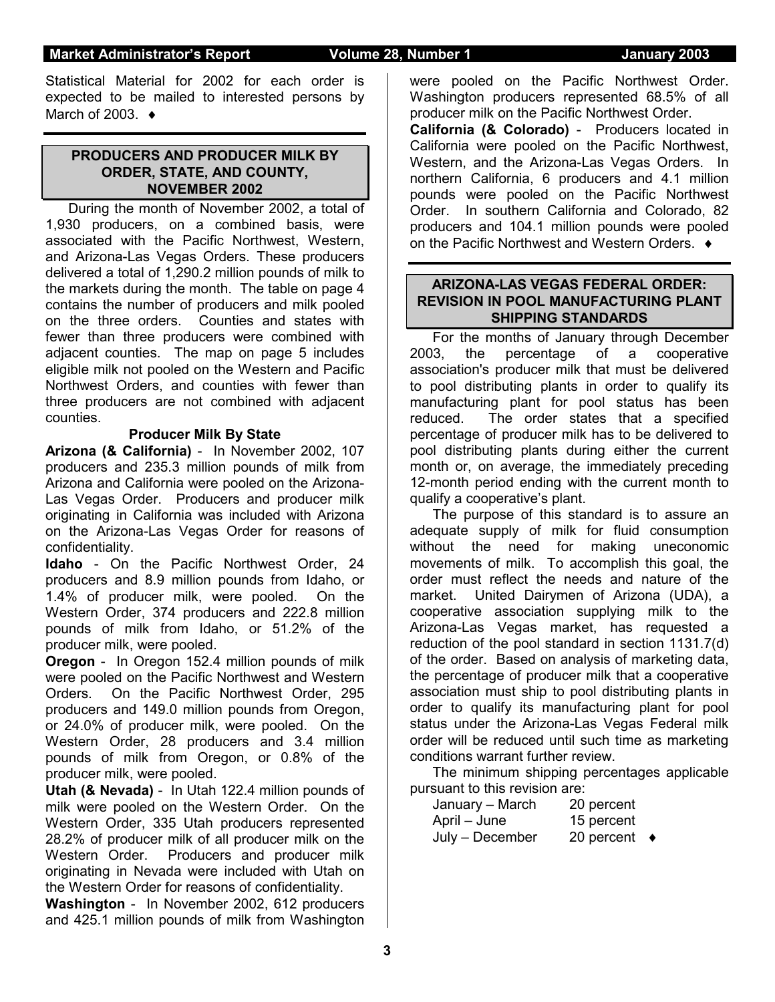### **Market Administrator's Report Colume 28, Number 1 Analy 2003**

Statistical Material for 2002 for each order is expected to be mailed to interested persons by March of 2003.  $\triangleleft$ 

#### **PRODUCERS AND PRODUCER MILK BY ORDER, STATE, AND COUNTY, NOVEMBER 2002**

 During the month of November 2002, a total of 1,930 producers, on a combined basis, were associated with the Pacific Northwest, Western, and Arizona-Las Vegas Orders. These producers delivered a total of 1,290.2 million pounds of milk to the markets during the month. The table on page 4 contains the number of producers and milk pooled on the three orders. Counties and states with fewer than three producers were combined with adjacent counties. The map on page 5 includes eligible milk not pooled on the Western and Pacific Northwest Orders, and counties with fewer than three producers are not combined with adjacent counties.

#### **Producer Milk By State**

**Arizona (& California)** - In November 2002, 107 producers and 235.3 million pounds of milk from Arizona and California were pooled on the Arizona-Las Vegas Order. Producers and producer milk originating in California was included with Arizona on the Arizona-Las Vegas Order for reasons of confidentiality.

**Idaho** - On the Pacific Northwest Order, 24 producers and 8.9 million pounds from Idaho, or 1.4% of producer milk, were pooled. On the Western Order, 374 producers and 222.8 million pounds of milk from Idaho, or 51.2% of the producer milk, were pooled.

**Oregon** - In Oregon 152.4 million pounds of milk were pooled on the Pacific Northwest and Western Orders. On the Pacific Northwest Order, 295 producers and 149.0 million pounds from Oregon, or 24.0% of producer milk, were pooled. On the Western Order, 28 producers and 3.4 million pounds of milk from Oregon, or 0.8% of the producer milk, were pooled.

**Utah (& Nevada)** - In Utah 122.4 million pounds of milk were pooled on the Western Order. On the Western Order, 335 Utah producers represented 28.2% of producer milk of all producer milk on the Western Order. Producers and producer milk originating in Nevada were included with Utah on the Western Order for reasons of confidentiality.

**Washington** - In November 2002, 612 producers and 425.1 million pounds of milk from Washington

were pooled on the Pacific Northwest Order. Washington producers represented 68.5% of all producer milk on the Pacific Northwest Order.

**California (& Colorado)** - Producers located in California were pooled on the Pacific Northwest, Western, and the Arizona-Las Vegas Orders. In northern California, 6 producers and 4.1 million pounds were pooled on the Pacific Northwest Order. In southern California and Colorado, 82 producers and 104.1 million pounds were pooled on the Pacific Northwest and Western Orders.  $\bullet$ 

### **ARIZONA-LAS VEGAS FEDERAL ORDER: REVISION IN POOL MANUFACTURING PLANT SHIPPING STANDARDS**

For the months of January through December 2003, the percentage of a cooperative association's producer milk that must be delivered to pool distributing plants in order to qualify its manufacturing plant for pool status has been reduced. The order states that a specified percentage of producer milk has to be delivered to pool distributing plants during either the current month or, on average, the immediately preceding 12-month period ending with the current month to qualify a cooperative's plant.

The purpose of this standard is to assure an adequate supply of milk for fluid consumption without the need for making uneconomic movements of milk. To accomplish this goal, the order must reflect the needs and nature of the market. United Dairymen of Arizona (UDA), a cooperative association supplying milk to the Arizona-Las Vegas market, has requested a reduction of the pool standard in section 1131.7(d) of the order. Based on analysis of marketing data, the percentage of producer milk that a cooperative association must ship to pool distributing plants in order to qualify its manufacturing plant for pool status under the Arizona-Las Vegas Federal milk order will be reduced until such time as marketing conditions warrant further review.

The minimum shipping percentages applicable pursuant to this revision are:

| January - March | 20 percent           |  |
|-----------------|----------------------|--|
| April – June    | 15 percent           |  |
| July - December | 20 percent $\bullet$ |  |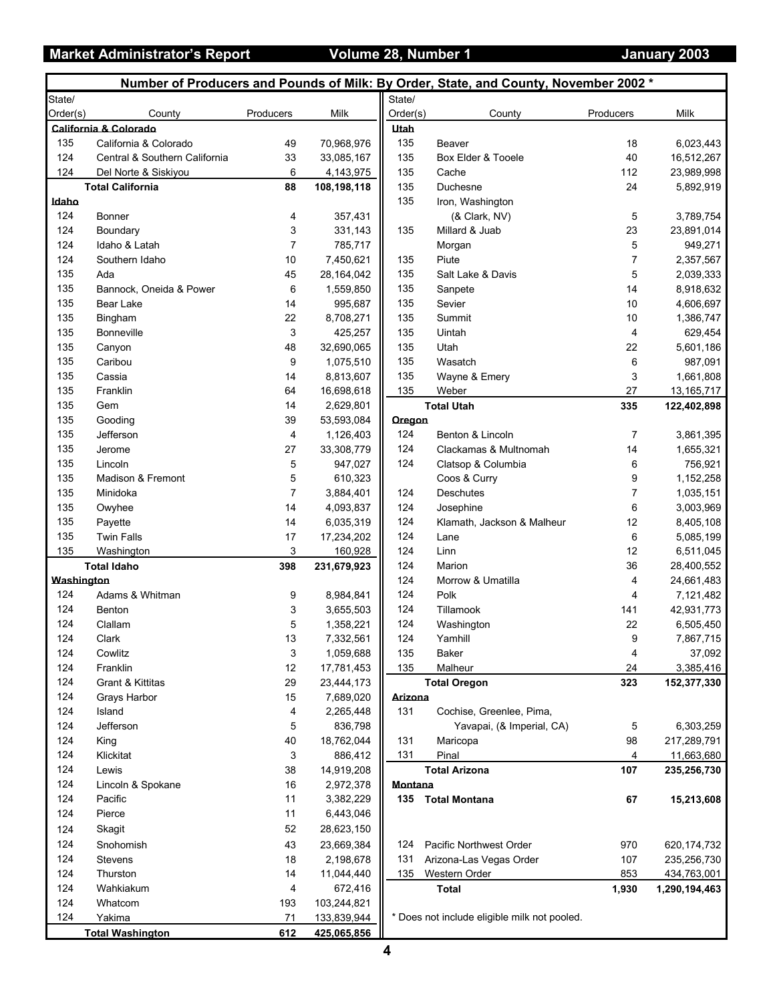### **Market Administrator's Report Colume 28, Number 1 Access 12 January 2003**

|            |                               |                |              |             | Number of Producers and Pounds of Milk: By Order, State, and County, November 2002 * |                |                        |
|------------|-------------------------------|----------------|--------------|-------------|--------------------------------------------------------------------------------------|----------------|------------------------|
| State/     |                               |                |              | State/      |                                                                                      |                |                        |
| Order(s)   | County                        | Producers      | Milk         | Order(s)    | County                                                                               | Producers      | Milk                   |
|            | California & Colorado         |                |              | <b>Utah</b> |                                                                                      |                |                        |
| 135        | California & Colorado         | 49             | 70,968,976   | 135         | Beaver                                                                               | 18             | 6,023,443              |
| 124        | Central & Southern California | 33             | 33,085,167   | 135         | Box Elder & Tooele                                                                   | 40             | 16,512,267             |
| 124        | Del Norte & Siskiyou          | 6              | 4,143,975    | 135         | Cache                                                                                | 112            | 23,989,998             |
|            | <b>Total California</b>       | 88             | 108,198,118  | 135         | Duchesne                                                                             | 24             | 5,892,919              |
| Idaho      |                               |                |              | 135         | Iron, Washington                                                                     |                |                        |
| 124        | Bonner                        | 4              | 357,431      |             | (& Clark, NV)                                                                        | 5              | 3,789,754              |
| 124        | Boundary                      | 3              | 331,143      | 135         | Millard & Juab                                                                       | 23             | 23,891,014             |
| 124        | Idaho & Latah                 | $\overline{7}$ | 785,717      |             | Morgan                                                                               | 5              | 949,271                |
| 124        | Southern Idaho                | 10             | 7,450,621    | 135         | Piute                                                                                | $\overline{7}$ | 2,357,567              |
| 135        | Ada                           | 45             | 28, 164, 042 | 135         | Salt Lake & Davis                                                                    | 5              | 2,039,333              |
| 135        | Bannock, Oneida & Power       | 6              | 1,559,850    | 135         | Sanpete                                                                              | 14             | 8,918,632              |
| 135        | Bear Lake                     | 14             | 995,687      | 135         | Sevier                                                                               | 10             |                        |
| 135        | Bingham                       | 22             |              | 135         | Summit                                                                               | 10             | 4,606,697<br>1,386,747 |
|            |                               |                | 8,708,271    | 135         |                                                                                      |                |                        |
| 135        | <b>Bonneville</b>             | 3              | 425,257      |             | Uintah                                                                               | 4              | 629,454                |
| 135        | Canyon                        | 48             | 32,690,065   | 135         | Utah                                                                                 | 22             | 5,601,186              |
| 135        | Caribou                       | 9              | 1,075,510    | 135         | Wasatch                                                                              | 6              | 987,091                |
| 135        | Cassia                        | 14             | 8,813,607    | 135         | Wayne & Emery                                                                        | 3              | 1,661,808              |
| 135        | Franklin                      | 64             | 16,698,618   | 135         | Weber                                                                                | 27             | 13,165,717             |
| 135        | Gem                           | 14             | 2,629,801    |             | <b>Total Utah</b>                                                                    | 335            | 122,402,898            |
| 135        | Gooding                       | 39             | 53,593,084   | Oregon      |                                                                                      |                |                        |
| 135        | Jefferson                     | 4              | 1,126,403    | 124         | Benton & Lincoln                                                                     | $\overline{7}$ | 3,861,395              |
| 135        | Jerome                        | 27             | 33,308,779   | 124         | Clackamas & Multnomah                                                                | 14             | 1,655,321              |
| 135        | Lincoln                       | 5              | 947,027      | 124         | Clatsop & Columbia                                                                   | 6              | 756,921                |
| 135        | Madison & Fremont             | 5              | 610,323      |             | Coos & Curry                                                                         | 9              | 1,152,258              |
| 135        | Minidoka                      | 7              | 3,884,401    | 124         | Deschutes                                                                            | 7              | 1,035,151              |
| 135        | Owyhee                        | 14             | 4,093,837    | 124         | Josephine                                                                            | 6              | 3,003,969              |
| 135        | Payette                       | 14             | 6,035,319    | 124         | Klamath, Jackson & Malheur                                                           | 12             | 8,405,108              |
| 135        | <b>Twin Falls</b>             | 17             | 17,234,202   | 124         | Lane                                                                                 | 6              | 5,085,199              |
| 135        | Washington                    | 3              | 160,928      | 124         | Linn                                                                                 | 12             | 6,511,045              |
|            | <b>Total Idaho</b>            | 398            | 231,679,923  | 124         | Marion                                                                               | 36             | 28,400,552             |
| Washington |                               |                |              | 124         | Morrow & Umatilla                                                                    | 4              | 24,661,483             |
| 124        | Adams & Whitman               | 9              | 8,984,841    | 124         | Polk                                                                                 | 4              | 7,121,482              |
| 124        | Benton                        | 3              | 3,655,503    | 124         | Tillamook                                                                            | 141            | 42,931,773             |
| 124        | Clallam                       | 5              | 1,358,221    | 124         | Washington                                                                           | 22             | 6,505,450              |
| 124        | Clark                         | 13             | 7,332,561    | 124         | Yamhill                                                                              | 9              | 7,867,715              |
| 124        | Cowlitz                       | 3              | 1,059,688    | 135         | Baker                                                                                | 4              | 37,092                 |
| 124        | Franklin                      | 12             | 17,781,453   | 135         | Malheur                                                                              | 24             | 3,385,416              |
| 124        | Grant & Kittitas              | 29             | 23,444,173   |             | <b>Total Oregon</b>                                                                  | 323            | 152,377,330            |
| 124        | Grays Harbor                  | 15             | 7,689,020    | Arizona     |                                                                                      |                |                        |
| 124        | Island                        | 4              | 2,265,448    | 131         | Cochise, Greenlee, Pima,                                                             |                |                        |
| 124        | Jefferson                     | 5              | 836,798      |             | Yavapai, (& Imperial, CA)                                                            | 5              | 6,303,259              |
| 124        | King                          | 40             | 18,762,044   | 131         | Maricopa                                                                             | 98             | 217,289,791            |
| 124        | Klickitat                     | 3              |              | 131         | Pinal                                                                                |                |                        |
|            |                               |                | 886,412      |             |                                                                                      | 4              | 11,663,680             |
| 124        | Lewis                         | 38             | 14,919,208   |             | <b>Total Arizona</b>                                                                 | 107            | 235,256,730            |
| 124        | Lincoln & Spokane             | 16             | 2,972,378    | Montana     |                                                                                      |                |                        |
| 124        | Pacific                       | 11             | 3,382,229    | 135         | <b>Total Montana</b>                                                                 | 67             | 15,213,608             |
| 124        | Pierce                        | 11             | 6,443,046    |             |                                                                                      |                |                        |
| 124        | Skagit                        | 52             | 28,623,150   |             |                                                                                      |                |                        |
| 124        | Snohomish                     | 43             | 23,669,384   | 124         | Pacific Northwest Order                                                              | 970            | 620, 174, 732          |
| 124        | Stevens                       | 18             | 2,198,678    | 131         | Arizona-Las Vegas Order                                                              | 107            | 235,256,730            |
| 124        | Thurston                      | 14             | 11,044,440   | 135         | Western Order                                                                        | 853            | 434,763,001            |
| 124        | Wahkiakum                     | 4              | 672,416      |             | <b>Total</b>                                                                         | 1,930          | 1,290,194,463          |
| 124        | Whatcom                       | 193            | 103,244,821  |             |                                                                                      |                |                        |
| 124        | Yakima                        | 71             | 133,839,944  |             | * Does not include eligible milk not pooled.                                         |                |                        |
|            | <b>Total Washington</b>       | 612            | 425,065,856  |             |                                                                                      |                |                        |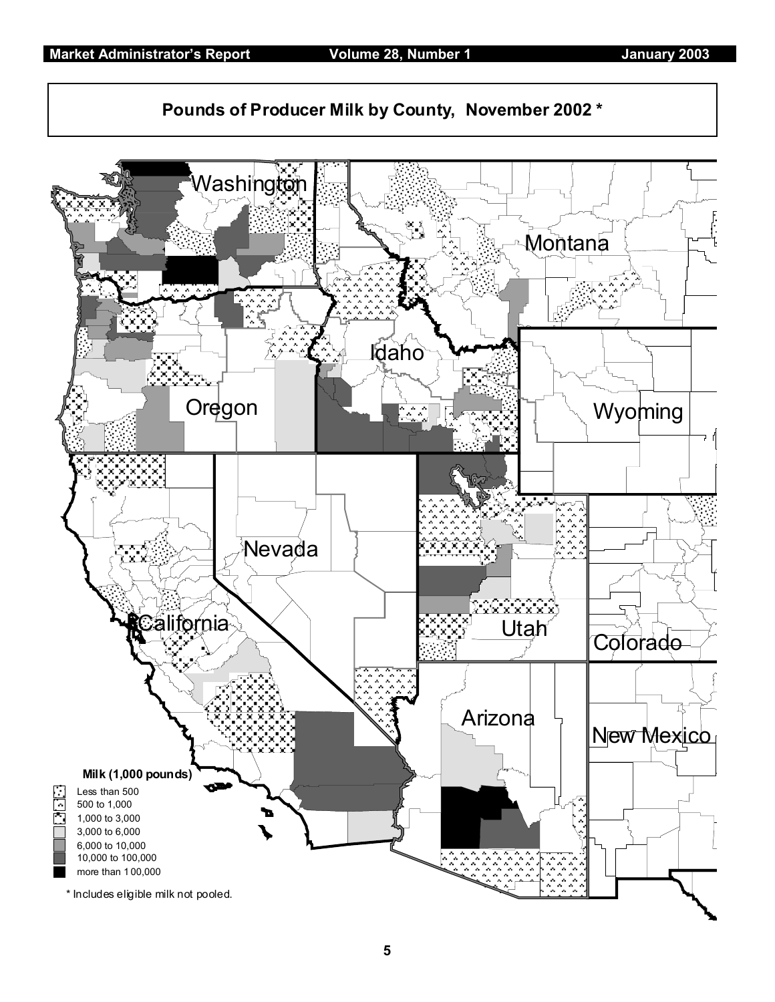

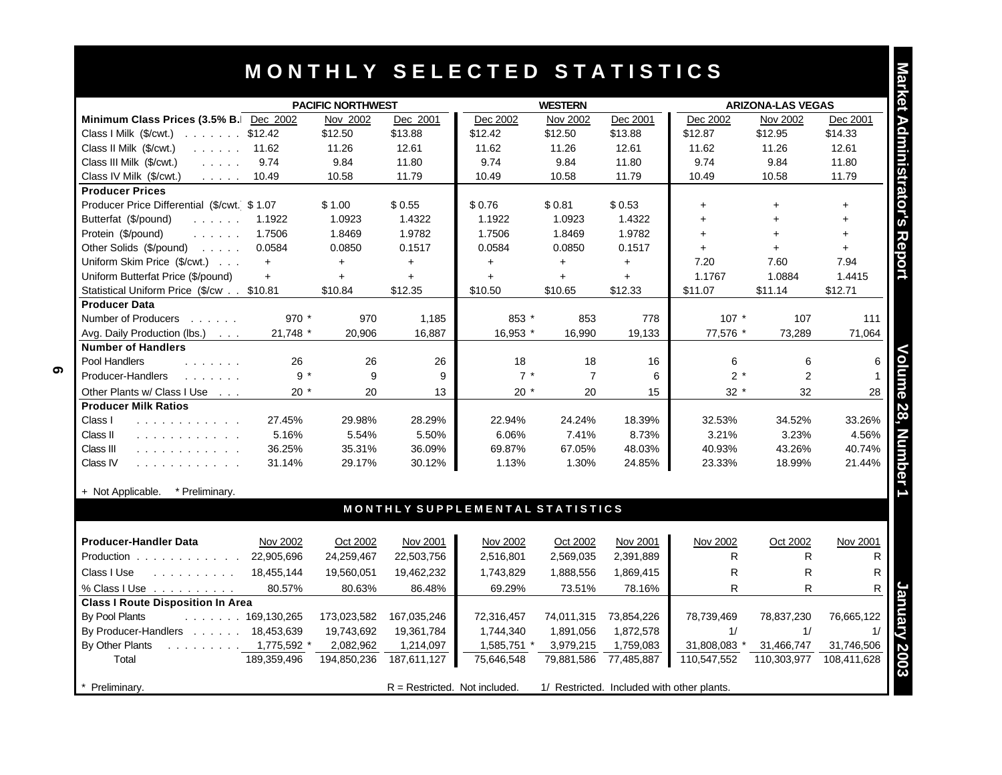## **M O N T H L Y S E L E C T E D S T A T I S T I C S**

|                                                                                                                    |             |                          |             | MONTHLY SELECTED STATISTICS     |                |            |              |                          |             | Market Administrator's |
|--------------------------------------------------------------------------------------------------------------------|-------------|--------------------------|-------------|---------------------------------|----------------|------------|--------------|--------------------------|-------------|------------------------|
|                                                                                                                    |             | <b>PACIFIC NORTHWEST</b> |             |                                 | <b>WESTERN</b> |            |              | <b>ARIZONA-LAS VEGAS</b> |             |                        |
| Minimum Class Prices (3.5% B. Dec 2002                                                                             |             | Nov 2002                 | Dec 2001    | Dec 2002                        | Nov 2002       | Dec 2001   | Dec 2002     | Nov 2002                 | Dec 2001    |                        |
| Class I Milk (\$/cwt.)<br>. \$12.42                                                                                |             | \$12.50                  | \$13.88     | \$12.42                         | \$12.50        | \$13.88    | \$12.87      | \$12.95                  | \$14.33     |                        |
| Class II Milk (\$/cwt.)<br>$\ldots$ 11.62                                                                          |             | 11.26                    | 12.61       | 11.62                           | 11.26          | 12.61      | 11.62        | 11.26                    | 12.61       |                        |
| Class III Milk (\$/cwt.)<br>$\mathcal{L}$ , and $\mathcal{L}$ , and                                                | 9.74        | 9.84                     | 11.80       | 9.74                            | 9.84           | 11.80      | 9.74         | 9.84                     | 11.80       |                        |
| Class IV Milk (\$/cwt.)<br>$\mathcal{L}^{\mathcal{A}}$ , $\mathcal{L}^{\mathcal{A}}$ , $\mathcal{L}^{\mathcal{A}}$ | 10.49       | 10.58                    | 11.79       | 10.49                           | 10.58          | 11.79      | 10.49        | 10.58                    | 11.79       |                        |
| <b>Producer Prices</b>                                                                                             |             |                          |             |                                 |                |            |              |                          |             |                        |
| Producer Price Differential (\$/cwt. \$1.07                                                                        |             | \$1.00                   | \$0.55      | \$0.76                          | \$0.81         | \$0.53     | $+$          | $+$                      | $\ddot{}$   |                        |
| Butterfat (\$/pound)                                                                                               | 1.1922      | 1.0923                   | 1.4322      | 1.1922                          | 1.0923         | 1.4322     | $+$          | $+$                      | $+$         |                        |
| Protein (\$/pound)                                                                                                 | 1.7506      | 1.8469                   | 1.9782      | 1.7506                          | 1.8469         | 1.9782     | $+$          | $\ddot{}$                | $\ddot{}$   |                        |
| Other Solids $(\frac{5}{2})$ cund $\cdots$                                                                         | 0.0584      | 0.0850                   | 0.1517      | 0.0584                          | 0.0850         | 0.1517     | $+$          | $+$                      | $+$         |                        |
| Uniform Skim Price (\$/cwt.)                                                                                       | $+$         | $+$                      | $+$         | $\ddot{}$                       | $\ddot{}$      | $\ddot{}$  | 7.20         | 7.60                     | 7.94        | Report                 |
| Uniform Butterfat Price (\$/pound)                                                                                 | $+$         | $+$                      | $\ddot{}$   | $+$                             | $+$            | $+$        | 1.1767       | 1.0884                   | 1.4415      |                        |
| Statistical Uniform Price (\$/cw \$10.81                                                                           |             | \$10.84                  | \$12.35     | \$10.50                         | \$10.65        | \$12.33    | \$11.07      | \$11.14                  | \$12.71     |                        |
| <b>Producer Data</b>                                                                                               |             |                          |             |                                 |                |            |              |                          |             |                        |
| Number of Producers                                                                                                | 970 *       | 970                      | 1,185       | 853 *                           | 853            | 778        | $107 *$      | 107                      | 111         |                        |
| Avg. Daily Production (lbs.)                                                                                       | 21,748 *    | 20,906                   | 16.887      | 16,953 *                        | 16,990         | 19,133     | 77,576 *     | 73,289                   | 71,064      |                        |
| <b>Number of Handlers</b>                                                                                          |             |                          |             |                                 |                |            |              |                          |             |                        |
| Pool Handlers<br>1.1.1.1.1.1.1                                                                                     | 26          | 26                       | 26          | 18                              | 18             | 16         | 6            | 6                        | 6           | Volume                 |
| Producer-Handlers                                                                                                  | $9 *$       | 9                        | 9           | $7 *$                           | $\overline{7}$ | 6          | $2 *$        | 2                        |             |                        |
| Other Plants w/ Class I Use                                                                                        | $20*$       | 20                       | 13          | $20*$                           | 20             | 15         | $32 *$       | 32                       | 28          |                        |
| <b>Producer Milk Ratios</b>                                                                                        |             |                          |             |                                 |                |            |              |                          |             |                        |
| Class I<br>.                                                                                                       | 27.45%      | 29.98%                   | 28.29%      | 22.94%                          | 24.24%         | 18.39%     | 32.53%       | 34.52%                   | 33.26%      | 28,                    |
| Class II<br>.                                                                                                      | 5.16%       | 5.54%                    | 5.50%       | 6.06%                           | 7.41%          | 8.73%      | 3.21%        | 3.23%                    | 4.56%       |                        |
| Class III<br>.                                                                                                     | 36.25%      | 35.31%                   | 36.09%      | 69.87%                          | 67.05%         | 48.03%     | 40.93%       | 43.26%                   | 40.74%      | <b>Number</b>          |
| Class IV<br>.                                                                                                      | 31.14%      | 29.17%                   | 30.12%      | 1.13%                           | 1.30%          | 24.85%     | 23.33%       | 18.99%                   | 21.44%      |                        |
|                                                                                                                    |             |                          |             |                                 |                |            |              |                          |             |                        |
| * Preliminary.<br>+ Not Applicable.                                                                                |             |                          |             |                                 |                |            |              |                          |             |                        |
|                                                                                                                    |             |                          |             | MONTHLY SUPPLEMENTAL STATISTICS |                |            |              |                          |             |                        |
| <b>Producer-Handler Data</b>                                                                                       | Nov 2002    | Oct 2002                 | Nov 2001    | Nov 2002                        | Oct 2002       | Nov 2001   | Nov 2002     | Oct 2002                 | Nov 2001    |                        |
| Production                                                                                                         | 22,905,696  | 24,259,467               | 22,503,756  | 2,516,801                       | 2,569,035      | 2,391,889  | R            | R                        | R           |                        |
| Class I Use<br>$\mathcal{A}$ . The second second second                                                            | 18,455,144  | 19,560,051               | 19,462,232  | 1,743,829                       | 1,888,556      | 1,869,415  | $\mathsf{R}$ | R                        | R           |                        |
|                                                                                                                    | 80.57%      |                          | 86.48%      | 69.29%                          |                | 78.16%     | R            | R                        | R           |                        |
| % Class I Use<br><b>Class I Route Disposition In Area</b>                                                          |             | 80.63%                   |             |                                 | 73.51%         |            |              |                          |             |                        |
| By Pool Plants<br>$\ldots$ 169,130,265                                                                             |             | 173,023,582              | 167,035,246 | 72,316,457                      | 74,011,315     | 73,854,226 | 78,739,469   | 78,837,230               | 76,665,122  |                        |
| By Producer-Handlers 18,453,639                                                                                    |             | 19,743,692               | 19,361,784  | 1,744,340                       | 1,891,056      | 1,872,578  | 1/           | 1/                       | 1/          |                        |
| By Other Plants                                                                                                    |             |                          |             |                                 |                |            |              |                          |             |                        |
| $\ldots$ 1,775,592<br>Total                                                                                        | 189.359.496 | 2,082,962                | 1,214,097   | 1,585,751 *                     | 3,979,215      | 1,759,083  | 31,808,083   | 31,466,747               | 31,746,506  |                        |
|                                                                                                                    |             | 194,850,236              | 187,611,127 | 75,646,548                      | 79,881,586     | 77,485,887 | 110,547,552  | 110,303,977              | 108,411,628 | muary 2003             |

**Preliminary.** R = Restricted. Not included. 1/ Restricted. Included with other plants.

Volume 28, Number 1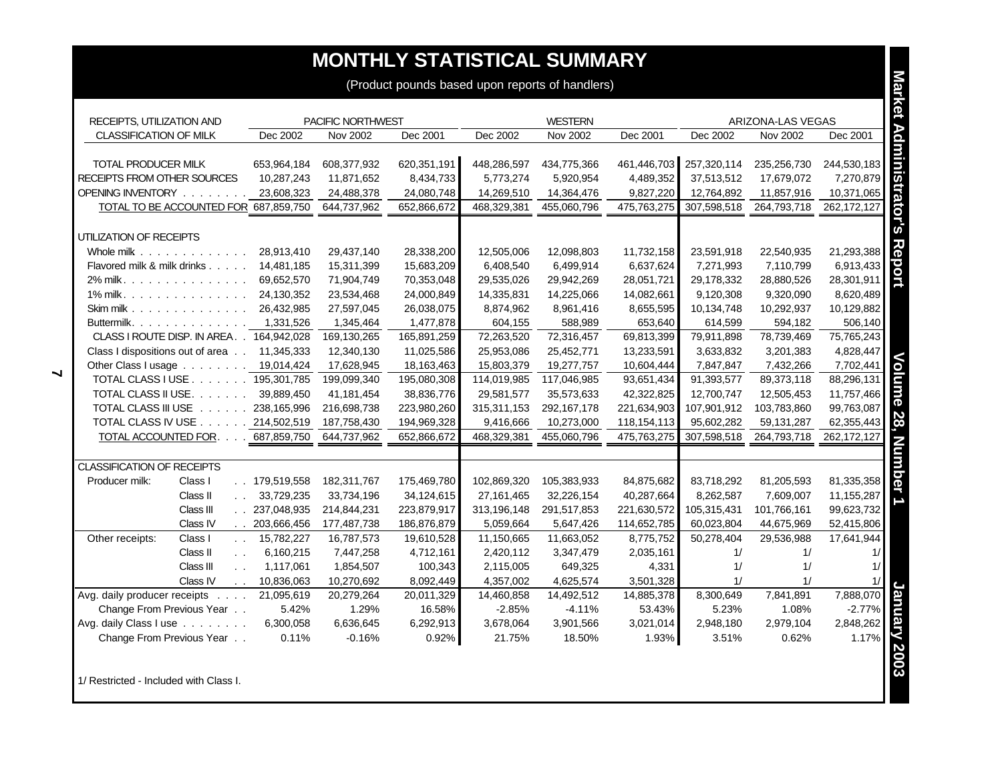## **MONTHLY STATISTICAL SUMMARY**

| RECEIPTS, UTILIZATION AND<br>CLASSIFICATION OF MILK<br>TOTAL PRODUCER MILK<br>RECEIPTS FROM OTHER SOURCES<br>OPENING INVENTORY<br>TOTAL TO BE ACCOUNTED FOR 687,859,750<br>UTILIZATION OF RECEIPTS<br>Whole milk | Dec 2002<br>653,964,184<br>10,287,243<br>23,608,323 | PACIFIC NORTHWEST<br>Nov 2002<br>608,377,932<br>11,871,652<br>24,488,378 | Dec 2001<br>620,351,191 | Dec 2002    | <b>WESTERN</b><br>Nov 2002 |               |             | ARIZONA-LAS VEGAS |             |
|------------------------------------------------------------------------------------------------------------------------------------------------------------------------------------------------------------------|-----------------------------------------------------|--------------------------------------------------------------------------|-------------------------|-------------|----------------------------|---------------|-------------|-------------------|-------------|
|                                                                                                                                                                                                                  |                                                     |                                                                          |                         |             |                            |               |             |                   |             |
|                                                                                                                                                                                                                  |                                                     |                                                                          |                         |             |                            | Dec 2001      | Dec 2002    | Nov 2002          | Dec 2001    |
|                                                                                                                                                                                                                  |                                                     |                                                                          |                         |             |                            |               |             |                   |             |
|                                                                                                                                                                                                                  |                                                     |                                                                          |                         | 448,286,597 | 434,775,366                | 461,446,703   | 257,320,114 | 235,256,730       | 244,530,183 |
|                                                                                                                                                                                                                  |                                                     |                                                                          | 8,434,733               | 5,773,274   | 5,920,954                  | 4,489,352     | 37,513,512  | 17,679,072        | 7,270,879   |
|                                                                                                                                                                                                                  |                                                     |                                                                          | 24,080,748              | 14,269,510  | 14,364,476                 | 9,827,220     | 12,764,892  | 11,857,916        | 10,371,065  |
|                                                                                                                                                                                                                  |                                                     | 644,737,962                                                              | 652,866,672             | 468,329,381 | 455,060,796                | 475,763,275   | 307,598,518 | 264,793,718       | 262,172,127 |
|                                                                                                                                                                                                                  |                                                     |                                                                          |                         |             |                            |               |             |                   |             |
|                                                                                                                                                                                                                  |                                                     |                                                                          |                         |             |                            |               |             |                   |             |
|                                                                                                                                                                                                                  | 28,913,410                                          | 29,437,140                                                               | 28,338,200              | 12,505,006  | 12,098,803                 | 11,732,158    | 23,591,918  | 22,540,935        | 21,293,388  |
| Flavored milk & milk drinks                                                                                                                                                                                      | 14,481,185                                          | 15,311,399                                                               | 15,683,209              | 6,408,540   | 6,499,914                  | 6,637,624     | 7,271,993   | 7,110,799         | 6,913,433   |
| 2% milk.                                                                                                                                                                                                         | 69,652,570                                          | 71,904,749                                                               | 70,353,048              | 29,535,026  | 29,942,269                 | 28,051,721    | 29,178,332  | 28,880,526        | 28,301,911  |
| 1% milk.                                                                                                                                                                                                         | 24,130,352                                          | 23,534,468                                                               | 24,000,849              | 14,335,831  | 14,225,066                 | 14,082,661    | 9,120,308   | 9,320,090         | 8,620,489   |
| Skim milk $\ldots$                                                                                                                                                                                               | 26,432,985                                          | 27,597,045                                                               | 26,038,075              | 8,874,962   | 8,961,416                  | 8,655,595     | 10,134,748  | 10,292,937        | 10,129,882  |
| Buttermilk.                                                                                                                                                                                                      | 1,331,526                                           | 1,345,464                                                                | 1,477,878               | 604,155     | 588,989                    | 653,640       | 614,599     | 594,182           | 506,140     |
| CLASS I ROUTE DISP. IN AREA. . 164,942,028                                                                                                                                                                       |                                                     | 169,130,265                                                              | 165,891,259             | 72,263,520  | 72,316,457                 | 69,813,399    | 79,911,898  | 78,739,469        | 75,765,243  |
| Class I dispositions out of area 11,345,333                                                                                                                                                                      |                                                     | 12,340,130                                                               | 11,025,586              | 25,953,086  | 25,452,771                 | 13,233,591    | 3,633,832   | 3,201,383         | 4,828,447   |
| Other Class I usage 19,014,424                                                                                                                                                                                   |                                                     | 17,628,945                                                               | 18,163,463              | 15,803,379  | 19,277,757                 | 10,604,444    | 7,847,847   | 7,432,266         | 7,702,441   |
| TOTAL CLASS I USE 195,301,785                                                                                                                                                                                    |                                                     | 199,099,340                                                              | 195,080,308             | 114,019,985 | 117,046,985                | 93,651,434    | 91,393,577  | 89,373,118        | 88,296,131  |
| TOTAL CLASS II USE.                                                                                                                                                                                              | 39,889,450                                          | 41,181,454                                                               | 38,836,776              | 29,581,577  | 35,573,633                 | 42,322,825    | 12,700,747  | 12,505,453        | 11,757,466  |
| TOTAL CLASS III USE 238,165,996                                                                                                                                                                                  |                                                     | 216,698,738                                                              | 223,980,260             | 315,311,153 | 292, 167, 178              | 221,634,903   | 107,901,912 | 103,783,860       | 99,763,087  |
| TOTAL CLASS IV USE 214,502,519                                                                                                                                                                                   |                                                     | 187,758,430                                                              | 194,969,328             | 9,416,666   | 10,273,000                 | 118, 154, 113 | 95,602,282  | 59,131,287        | 62,355,443  |
| TOTAL ACCOUNTED FOR. 687,859,750                                                                                                                                                                                 |                                                     | 644,737,962                                                              | 652,866,672             | 468,329,381 | 455,060,796                | 475,763,275   | 307,598,518 | 264,793,718       | 262,172,127 |
|                                                                                                                                                                                                                  |                                                     |                                                                          |                         |             |                            |               |             |                   |             |
| <b>CLASSIFICATION OF RECEIPTS</b>                                                                                                                                                                                |                                                     |                                                                          |                         |             |                            |               |             |                   |             |
| Producer milk:<br>Class I                                                                                                                                                                                        | . . 179,519,558                                     | 182,311,767                                                              | 175,469,780             | 102,869,320 | 105,383,933                | 84,875,682    | 83,718,292  | 81,205,593        | 81,335,358  |
| Class II<br>$\sim 10^{-1}$                                                                                                                                                                                       | 33,729,235                                          | 33,734,196                                                               | 34,124,615              | 27,161,465  | 32,226,154                 | 40,287,664    | 8,262,587   | 7,609,007         | 11,155,287  |
| Class III                                                                                                                                                                                                        | . 237,048,935                                       | 214,844,231                                                              | 223,879,917             | 313,196,148 | 291,517,853                | 221,630,572   | 105,315,431 | 101,766,161       | 99,623,732  |
| Class IV                                                                                                                                                                                                         | . 203,666,456                                       | 177,487,738                                                              | 186,876,879             | 5,059,664   | 5,647,426                  | 114,652,785   | 60,023,804  | 44,675,969        | 52,415,806  |
| Other receipts:<br>Class I<br>$\sim 10^{-1}$                                                                                                                                                                     | 15,782,227                                          | 16,787,573                                                               | 19,610,528              | 11,150,665  | 11,663,052                 | 8,775,752     | 50,278,404  | 29,536,988        | 17,641,944  |
| Class II<br>$\sim$ $\sim$                                                                                                                                                                                        | 6,160,215                                           | 7,447,258                                                                | 4,712,161               | 2,420,112   | 3,347,479                  | 2,035,161     | 1/          | 1/                | 1/          |
| Class III<br>$\sim$ $\sim$                                                                                                                                                                                       | 1,117,061                                           | 1,854,507                                                                | 100,343                 | 2,115,005   | 649,325                    | 4,331         | 1/          | 1/                | 1/          |
| Class IV<br>$\sim 10^{-1}$                                                                                                                                                                                       | 10,836,063                                          | 10,270,692                                                               | 8,092,449               | 4,357,002   | 4,625,574                  | 3,501,328     | 1/          | 1/                | 1/          |
| Avg. daily producer receipts                                                                                                                                                                                     | 21,095,619                                          | 20,279,264                                                               | 20,011,329              | 14,460,858  | 14,492,512                 | 14,885,378    | 8,300,649   | 7,841,891         | 7,888,070   |
| Change From Previous Year                                                                                                                                                                                        | 5.42%                                               | 1.29%                                                                    | 16.58%                  | $-2.85%$    | $-4.11%$                   | 53.43%        | 5.23%       | 1.08%             | $-2.77%$    |
| Avg. daily Class I use                                                                                                                                                                                           | 6,300,058                                           | 6,636,645                                                                | 6,292,913               | 3,678,064   | 3,901,566                  | 3,021,014     | 2,948,180   | 2,979,104         | 2,848,262   |
| Change From Previous Year                                                                                                                                                                                        | 0.11%                                               | $-0.16%$                                                                 | 0.92%                   | 21.75%      | 18.50%                     | 1.93%         | 3.51%       | 0.62%             | 1.17%       |

1/ Restricted - Included with Class I.

**7**